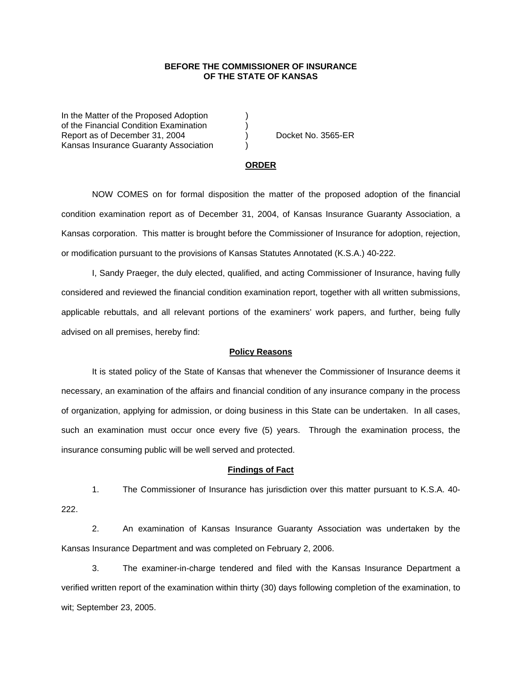### **BEFORE THE COMMISSIONER OF INSURANCE OF THE STATE OF KANSAS**

In the Matter of the Proposed Adoption of the Financial Condition Examination ) Report as of December 31, 2004 (a) Docket No. 3565-ER Kansas Insurance Guaranty Association )

#### **ORDER**

 NOW COMES on for formal disposition the matter of the proposed adoption of the financial condition examination report as of December 31, 2004, of Kansas Insurance Guaranty Association, a Kansas corporation. This matter is brought before the Commissioner of Insurance for adoption, rejection, or modification pursuant to the provisions of Kansas Statutes Annotated (K.S.A.) 40-222.

 I, Sandy Praeger, the duly elected, qualified, and acting Commissioner of Insurance, having fully considered and reviewed the financial condition examination report, together with all written submissions, applicable rebuttals, and all relevant portions of the examiners' work papers, and further, being fully advised on all premises, hereby find:

### **Policy Reasons**

 It is stated policy of the State of Kansas that whenever the Commissioner of Insurance deems it necessary, an examination of the affairs and financial condition of any insurance company in the process of organization, applying for admission, or doing business in this State can be undertaken. In all cases, such an examination must occur once every five (5) years. Through the examination process, the insurance consuming public will be well served and protected.

#### **Findings of Fact**

 1. The Commissioner of Insurance has jurisdiction over this matter pursuant to K.S.A. 40- 222.

 2. An examination of Kansas Insurance Guaranty Association was undertaken by the Kansas Insurance Department and was completed on February 2, 2006.

 3. The examiner-in-charge tendered and filed with the Kansas Insurance Department a verified written report of the examination within thirty (30) days following completion of the examination, to wit; September 23, 2005.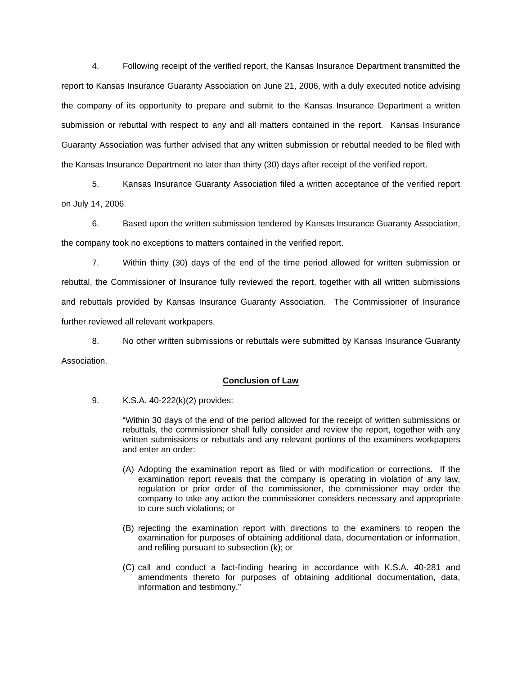4. Following receipt of the verified report, the Kansas Insurance Department transmitted the report to Kansas Insurance Guaranty Association on June 21, 2006, with a duly executed notice advising the company of its opportunity to prepare and submit to the Kansas Insurance Department a written submission or rebuttal with respect to any and all matters contained in the report. Kansas Insurance Guaranty Association was further advised that any written submission or rebuttal needed to be filed with the Kansas Insurance Department no later than thirty (30) days after receipt of the verified report.

 5. Kansas Insurance Guaranty Association filed a written acceptance of the verified report on July 14, 2006.

6. Based upon the written submission tendered by Kansas Insurance Guaranty Association, the company took no exceptions to matters contained in the verified report.

 7. Within thirty (30) days of the end of the time period allowed for written submission or rebuttal, the Commissioner of Insurance fully reviewed the report, together with all written submissions and rebuttals provided by Kansas Insurance Guaranty Association. The Commissioner of Insurance further reviewed all relevant workpapers.

 8. No other written submissions or rebuttals were submitted by Kansas Insurance Guaranty Association.

## **Conclusion of Law**

9. K.S.A. 40-222(k)(2) provides:

"Within 30 days of the end of the period allowed for the receipt of written submissions or rebuttals, the commissioner shall fully consider and review the report, together with any written submissions or rebuttals and any relevant portions of the examiners workpapers and enter an order:

- (A) Adopting the examination report as filed or with modification or corrections. If the examination report reveals that the company is operating in violation of any law, regulation or prior order of the commissioner, the commissioner may order the company to take any action the commissioner considers necessary and appropriate to cure such violations; or
- (B) rejecting the examination report with directions to the examiners to reopen the examination for purposes of obtaining additional data, documentation or information, and refiling pursuant to subsection (k); or
- (C) call and conduct a fact-finding hearing in accordance with K.S.A. 40-281 and amendments thereto for purposes of obtaining additional documentation, data, information and testimony."